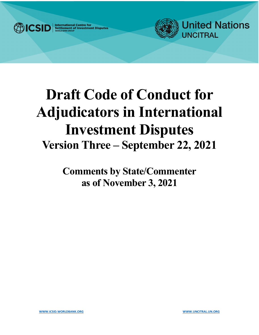

**International Centre for<br>Settlement of Investment Disputes** 



# **Draft Code of Conduct for Adjudicators in International Investment Disputes Version Three – September 22, 2021**

**Comments by State/Commenter as of November 3, 2021**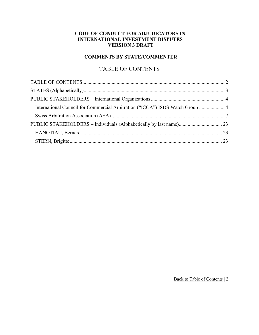#### **CODE OF CONDUCT FOR ADJUDICATORS IN INTERNATIONAL INVESTMENT DISPUTES VERSION 3 DRAFT**

## **COMMENTS BY STATE/COMMENTER**

## TABLE OF CONTENTS

<span id="page-1-1"></span><span id="page-1-0"></span>

| International Council for Commercial Arbitration ("ICCA") ISDS Watch Group  4 |  |
|-------------------------------------------------------------------------------|--|
|                                                                               |  |
|                                                                               |  |
|                                                                               |  |
|                                                                               |  |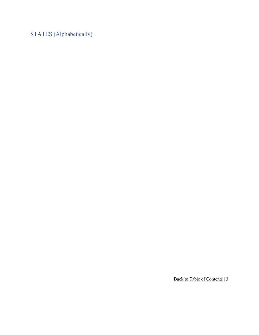<span id="page-2-0"></span>STATES (Alphabetically)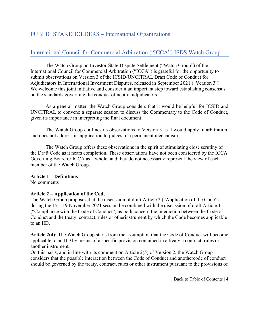## <span id="page-3-0"></span>PUBLIC STAKEHOLDERS – International Organizations

## <span id="page-3-1"></span>International Council for Commercial Arbitration ("ICCA") ISDS Watch Group

The Watch Group on Investor-State Dispute Settlement ("Watch Group") of the International Council for Commercial Arbitration ("ICCA") is grateful for the opportunity to submit observations on Version 3 of the ICSID/UNCITRAL Draft Code of Conduct for Adjudicators in International Investment Disputes, released in September 2021 ("Version 3"). We welcome this joint initiative and consider it an important step toward establishing consensus on the standards governing the conduct of neutral adjudicators.

As a general matter, the Watch Group considers that it would be helpful for ICSID and UNCITRAL to convene a separate session to discuss the Commentary to the Code of Conduct, given its importance in interpreting the final document.

The Watch Group confines its observations to Version 3 as it would apply in arbitration, and does not address its application to judges in a permanent mechanism.

The Watch Group offers these observations in the spirit of stimulating close scrutiny of the Draft Code as it nears completion. These observations have not been considered by the ICCA Governing Board or ICCA as a whole, and they do not necessarily represent the view of each member of the Watch Group.

#### **Article 1 – Definitions**

No comments

#### **Article 2 – Application of the Code**

The Watch Group proposes that the discussion of draft Article 2 ("Application of the Code") during the 15 – 19 November 2021 session be combined with the discussion of draft Article 11 ("Compliance with the Code of Conduct") as both concern the interaction between the Code of Conduct and the treaty, contract, rules or otherinstrument by which the Code becomes applicable to an IID.

**Article 2(4):** The Watch Group starts from the assumption that the Code of Conduct will become applicable to an IID by means of a specific provision contained in a treaty,a contract, rules or another instrument.

On this basis, and in line with its comment on Article 2(5) of Version 2, the Watch Group considers that the possible interaction between the Code of Conduct and anothercode of conduct should be governed by the treaty, contract, rules or other instrument pursuant to the provisions of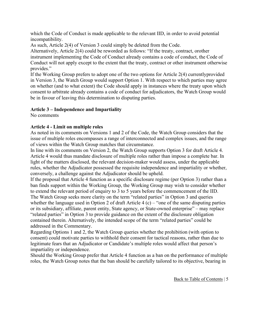which the Code of Conduct is made applicable to the relevant IID, in order to avoid potential incompatibility.

As such, Article 2(4) of Version 3 could simply be deleted from the Code.

Alternatively, Article 2(4) could be reworded as follows: "If the treaty, contract, orother instrument implementing the Code of Conduct already contains a code of conduct, the Code of Conduct will not apply except to the extent that the treaty, contract or other instrument otherwise provides."

If the Working Group prefers to adopt one of the two options for Article 2(4) currentlyprovided in Version 3, the Watch Group would support Option 1. With respect to which parties may agree on whether (and to what extent) the Code should apply in instances where the treaty upon which consent to arbitrate already contains a code of conduct for adjudicators, the Watch Group would be in favour of leaving this determination to disputing parties.

### **Article 3 – Independence and Impartiality**

No comments

### **Article 4 - Limit on multiple roles**

As noted in its comments on Versions 1 and 2 of the Code, the Watch Group considers that the issue of multiple roles encompasses a range of interconnected and complex issues, and the range of views within the Watch Group matches that circumstance.

In line with its comments on Version 2, the Watch Group supports Option 3 for draft Article 4. Article 4 would thus mandate disclosure of multiple roles rather than impose a complete bar. In light of the matters disclosed, the relevant decision-maker would assess, under the applicable rules, whether the Adjudicator possessed the requisite independence and impartiality or whether, conversely, a challenge against the Adjudicator should be upheld.

If the proposal that Article 4 function as a specific disclosure regime (per Option 3) rather than a ban finds support within the Working Group, the Working Group may wish to consider whether to extend the relevant period of enquiry to 3 to 5 years before the commencement of the IID. The Watch Group seeks more clarity on the term "related parties" in Option 3 and queries whether the language used in Option 2 of draft Article  $4(c)$  – "one of the same disputing parties or its subsidiary, affiliate, parent entity, State agency, or State-owned enterprise" – may replace "related parties" in Option 3 to provide guidance on the extent of the disclosure obligation contained therein. Alternatively, the intended scope of the term "related parties" could be addressed in the Commentary.

Regarding Options 1 and 2, the Watch Group queries whether the prohibition (with option to consent) could motivate parties to withhold their consent for tactical reasons, rather than due to legitimate fears that an Adjudicator or Candidate's multiple roles would affect that person's impartiality or independence.

Should the Working Group prefer that Article 4 function as a ban on the performance of multiple roles, the Watch Group notes that the ban should be carefully tailored to its objective, bearing in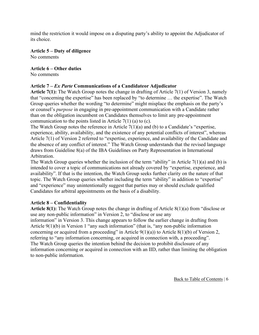mind the restriction it would impose on a disputing party's ability to appoint the Adjudicator of its choice.

**Article 5 – Duty of diligence**

No comments

### **Article 6 – Other duties**

No comments

## **Article 7 –** *Ex Parte* **Communications of a Candidateor Adjudicator**

**Article 7(1):** The Watch Group notes the change in drafting of Article 7(1) of Version 3, namely that "concerning the expertise" has been replaced by "to determine … the expertise". The Watch Group queries whether the wording "to determine" might misplace the emphasis on the party's or counsel's *purpose* in engaging in pre-appointment communication with a Candidate rather than on the obligation incumbent on Candidates themselves to limit any pre-appointment communication to the points listed in Article 7(1) (a) to (c).

The Watch Group notes the reference in Article 7(1)(a) and (b) to a Candidate's "expertise, experience, ability, availability, and the existence of any potential conflicts of interest", whereas Article 7(1) of Version 2 referred to "expertise, experience, and availability of the Candidate and the absence of any conflict of interest." The Watch Group understands that the revised language draws from Guideline 8(a) of the IBA Guidelines on Party Representation in International Arbitration.

The Watch Group queries whether the inclusion of the term "ability" in Article  $7(1)(a)$  and (b) is intended to cover a topic of communications not already covered by "expertise, experience, and availability". If that is the intention, the Watch Group seeks further clarity on the nature of that topic. The Watch Group queries whether including the term "ability" in addition to "expertise" and "experience" may unintentionally suggest that parties may or should exclude qualified Candidates for arbitral appointments on the basis of a disability.

## **Article 8 – Confidentiality**

**Article 8(1):** The Watch Group notes the change in drafting of Article 8(1)(a) from "disclose or use any non-public information" in Version 2, to "disclose or use any

information" in Version 3. This change appears to follow the earlier change in drafting from Article 9(1)(b) in Version 1 "any such information" (that is, "any non-public information concerning or acquired from a proceeding" in Article  $9(1)(a)$ ) to Article  $8(1)(b)$  of Version 2, referring to "any information concerning, or acquired in connection with, a proceeding". The Watch Group queries the intention behind the decision to prohibit disclosure of any information concerning or acquired in connection with an IID, rather than limiting the obligation to non-public information.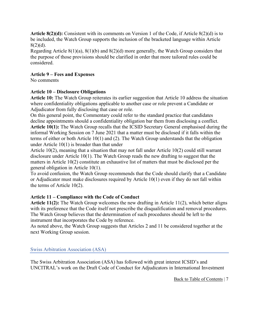**Article 8(2)(d):** Consistent with its comments on Version 1 of the Code, if Article 8(2)(d) is to be included, the Watch Group supports the inclusion of the bracketed language within Article  $8(2)(d)$ .

Regarding Article 8(1)(a), 8(1)(b) and 8(2)(d) more generally, the Watch Group considers that the purpose of those provisions should be clarified in order that more tailored rules could be considered.

#### **Article 9 – Fees and Expenses**

No comments

### **Article 10 – Disclosure Obligations**

**Article 10:** The Watch Group reiterates its earlier suggestion that Article 10 address the situation where confidentiality obligations applicable to another case or role prevent a Candidate or Adjudicator from fully disclosing that case or role.

On this general point, the Commentary could refer to the standard practice that candidates decline appointments should a confidentiality obligation bar them from disclosing a conflict. **Article 10(1):** The Watch Group recalls that the ICSID Secretary General emphasised during the informal Working Session on 7 June 2021 that a matter must be disclosed if it falls within the terms of either or both Article 10(1) and (2). The Watch Group understands that the obligation under Article 10(1) is broader than that under

Article 10(2), meaning that a situation that may not fall under Article 10(2) could still warrant disclosure under Article 10(1). The Watch Group reads the new drafting to suggest that the matters in Article 10(2) constitute an exhaustive list of matters that must be disclosed per the general obligation in Article 10(1).

To avoid confusion, the Watch Group recommends that the Code should clarify that a Candidate or Adjudicator must make disclosures required by Article 10(1) even if they do not fall within the terms of Article 10(2).

## **Article 11 – Compliance with the Code of Conduct**

**Article 11(2):** The Watch Group welcomes the new drafting in Article 11(2), which better aligns with its preference that the Code itself not prescribe the disqualification and removal procedures. The Watch Group believes that the determination of such procedures should be left to the instrument that incorporates the Code by reference.

As noted above, the Watch Group suggests that Articles 2 and 11 be considered together at the next Working Group session.

#### <span id="page-6-0"></span>Swiss Arbitration Association (ASA)

The Swiss Arbitration Association (ASA) has followed with great interest ICSID's and UNCITRAL's work on the Draft Code of Conduct for Adjudicators in International Investment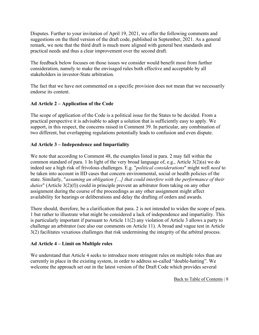Disputes. Further to your invitation of April 19, 2021, we offer the following comments and suggestions on the third version of the draft code, published in September, 2021. As a general remark, we note that the third draft is much more aligned with general best standards and practical needs and thus a clear improvement over the second draft.

The feedback below focuses on those issues we consider would benefit most from further consideration, namely to make the envisaged rules both effective and acceptable by all stakeholders in investor-State arbitration.

The fact that we have not commented on a specific provision does not mean that we necessarily endorse its content.

### **Ad Article 2 – Application of the Code**

The scope of application of the Code is a political issue for the States to be decided. From a practical perspective it is advisable to adopt a solution that is sufficiently easy to apply. We support, in this respect, the concerns raised in Comment 39. In particular, any combination of two different, but overlapping regulations potentially leads to confusion and even dispute.

### **Ad Article 3 – Independence and Impartiality**

We note that according to Comment 48, the examples listed in para. 2 may fall within the common standard of para. 1 In light of the very broad language of, e.g., Article 3(2)(a) we do indeed see a high risk of frivolous challenges. E.g. "*political considerations*" might well *need* to be taken into account in IID cases that concern environmental, social or health policies of the state. Similarly, "*assuming an obligation […] that could interfere with the performance of their duties*" (Article 3(2)(f)) could in principle prevent an arbitrator from taking on any other assignment during the course of the proceedings as any other assignment might affect availability for hearings or deliberations and delay the drafting of orders and awards.

There should, therefore, be a clarification that para. 2 is not intended to widen the scope of para. 1 but rather to illustrate what might be considered a lack of independence and impartiality. This is particularly important if pursuant to Article 11(2) any violation of Article 3 allows a party to challenge an arbitrator (see also our comments on Article 11). A broad and vague test in Article 3(2) facilitates vexatious challenges that risk undermining the integrity of the arbitral process.

#### **Ad Article 4 – Limit on Multiple roles**

We understand that Article 4 seeks to introduce more stringent rules on multiple roles than are currently in place in the existing system, in order to address so-called "double-hatting". We welcome the approach set out in the latest version of the Draft Code which provides several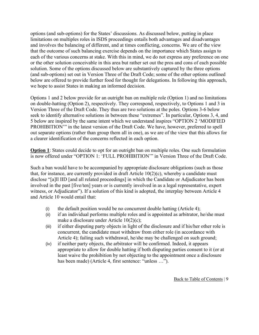options (and sub-options) for the States' discussions. As discussed below, putting in place limitations on multiples roles in ISDS proceedings entails both advantages and disadvantages and involves the balancing of different, and at times conflicting, concerns. We are of the view that the outcome of such balancing exercise depends on the importance which States assign to each of the various concerns at stake. With this in mind, we do not express any preference on one or the other solution conceivable in this area but rather set out the pros and cons of each possible solution. Some of the options discussed below are substantively captured by the three options (and sub-options) set out in Version Three of the Draft Code; some of the other options outlined below are offered to provide further food for thought for delegations. In following this approach, we hope to assist States in making an informed decision.

Options 1 and 2 below provide for an outright ban on multiple role (Option 1) and no limitations on double-hatting (Option 2), respectively. They correspond, respectively, to Options 1 and 3 in Version Three of the Draft Code. They thus are two solutions at the poles. Options 3-6 below seek to identify alternative solutions in between these "extremes". In particular, Options 3, 4, and 5 below are inspired by the same intent which we understand inspires "OPTION 2 'MODIFIED PROHIBITION'" in the latest version of the Draft Code. We have, however, preferred to spell out separate options (rather than group them all in one), as we are of the view that this allows for a clearer identification of the concerns reflected in each option.

**Option 1**: States could decide to opt for an outright ban on multiple roles. One such formulation is now offered under "OPTION 1: 'FULL PROHIBITION'" in Version Three of the Draft Code.

Such a ban would have to be accompanied by appropriate disclosure obligations (such as those that, for instance, are currently provided in draft Article  $10(2)(c)$ , whereby a candidate must disclose "[a]ll IID [and all related proceedings] in which the Candidate or Adjudicator has been involved in the past [five/ten] years or is currently involved in as a legal representative, expert witness, or Adjudicator"). If a solution of this kind is adopted, the interplay between Article 4 and Article 10 would entail that:

- (i) the default position would be no concurrent double hatting (Article 4);
- (ii) if an individual performs multiple roles and is appointed as arbitrator, he/she must make a disclosure under Article 10(2)(c);
- (iii) if either disputing party objects in light of the disclosure and if his/her other role is concurrent, the candidate must withdraw from either role (in accordance with Article 4); failing such withdrawal, he/she may be challenged on such ground;
- (iv) if neither party objects, the arbitrator will be confirmed. Indeed, it appears appropriate to allow for double hatting if both disputing parties consent to it (or at least waive the prohibition by not objecting to the appointment once a disclosure has been made) (Article 4, first sentence: "unless …").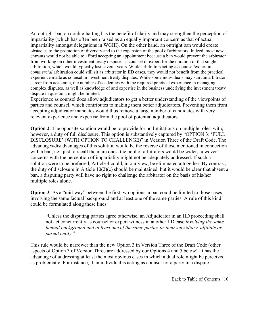An outright ban on double-hatting has the benefit of clarity and may strengthen the perception of impartiality (which has often been raised as an equally important concern as that of actual impartiality amongst delegations in WGIII). On the other hand, an outright ban would create obstacles to the promotion of diversity and to the expansion of the pool of arbitrators. Indeed, most new entrants would not be able to afford accepting an appointment because a ban would prevent the arbitrator from working on other investment treaty disputes as counsel or expert for the duration of that single arbitration, which would typically last several years. While arbitrators acting as counsel/expert in *commercial* arbitration could still sit as arbitrator in IID cases, they would not benefit from the practical experience made as counsel in investment treaty disputes. While some individuals may start an arbitrator career from academia, the number of academics with the required practical experience in managing complex disputes, as well as knowledge of and expertise in the business underlying the investment treaty dispute in question, might be limited.

Experience as counsel does allow adjudicators to get a better understanding of the viewpoints of parties and counsel, which contributes to making them better adjudicators. Preventing them from accepting adjudicator mandates would thus remove a large number of candidates with very relevant experience and expertise from the pool of potential adjudicators.

**Option 2**: The opposite solution would be to provide for no limitations on multiple roles, with, however, a duty of full disclosure. This option is substantively captured by "OPTION 3: 'FULL DISCLOSURE' (WITH OPTION TO CHALLENGE)" in Version Three of the Draft Code. The advantages/disadvantages of this solution would be the reverse of those mentioned in connection with a ban, i.e., just to recall the main ones, the pool of arbitrators would be wider, however concerns with the perception of impartiality might not be adequately addressed. If such a solution were to be preferred, Article 4 could, in our view, be eliminated altogether. By contrast, the duty of disclosure in Article 10(2)(c) should be maintained, but it would be clear that absent a ban, a disputing party will have no right to challenge the arbitrator on the basis of his/her multiple roles alone.

**Option 3**: As a "mid-way" between the first two options, a ban could be limited to those cases involving the same factual background and at least one of the same parties. A rule of this kind could be formulated along these lines:

"Unless the disputing parties agree otherwise, an Adjudicator in an IID proceeding shall not act concurrently as counsel or expert witness in another IID case *involving the same factual background and at least one of the same parties or their subsidiary, affiliate or parent entity*."

This rule would be narrower than the new Option 3 in Version Three of the Draft Code (other aspects of Option 3 of Version Three are addressed by our Options 4 and 5 below). It has the advantage of addressing at least the most obvious cases in which a dual role might be perceived as problematic. For instance, if an individual is acting as counsel for a party in a dispute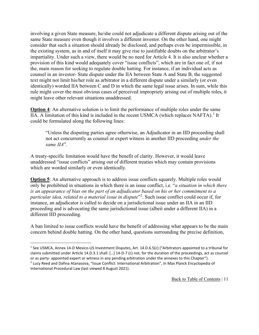involving a given State measure, he/she could not adjudicate a different dispute arising out of the same State measure even though it involves a different investor. On the other hand, one might consider that such a situation should already be disclosed, and perhaps even be impermissible, in the existing system, as in and of itself it may give rise to justifiable doubts on the arbitrator's impartiality. Under such a view, there would be no need for Article 4. It is also unclear whether a provision of this kind would adequately cover "issue conflicts", which are in fact one of, if not the, main reason for seeking to regulate double hatting. For instance, if an individual acts as counsel in an investor- State dispute under the IIA between State A and State B, the suggested text might not limit his/her role as arbitrator in a different dispute under a similarly (or even identically) worded IIA between C and D in which the same legal issue arises. In sum, while this rule might cover the most obvious cases of perceived impropriety arising out of multiple roles, it might leave other relevant situations unaddressed.

**Option 4:** An alternative solution is to limit the performance of multiple roles under the same IIA. A limitation of this kind is included in the recent USMCA (which replaces NAFTA).<sup>[1](#page-10-0)</sup> It could be formulated along the following lines:

"Unless the disputing parties agree otherwise, an Adjudicator in an IID proceeding shall not act concurrently as counsel or expert witness in another IID proceeding *under the same IIA*".

A treaty-specific limitation would have the benefit of clarity. However, it would leave unaddressed "issue conflicts" arising out of different treaties which may contain provisions which are worded similarly or even identically.

**Option 5:** An alternative approach is to address issue conflicts squarely. Multiple roles would only be prohibited in situations in which there is an issue conflict, i.e. "*a situation in which there is an appearance of bias on the part of an adjudicator based on his or her commitment to a particular idea, related to a material issue in dispute*"[2](#page-10-1) . Such issue conflict could occur if, for instance, an adjudicator is called to decide on a jurisdictional issue under an IIA in an IID proceeding and is advocating the same jurisdictional issue (albeit under a different IIA) in a different IID proceeding.

A ban limited to issue conflicts would have the benefit of addressing what appears to be the main concern behind double hatting. On the other hand, questions surrounding the precise definition,

<span id="page-10-0"></span><sup>&</sup>lt;sup>1</sup> See USMCA, Annex 14-D Mexico-US Investment Disputes, Art. 14.D.6.5(c) ("Arbitrators appointed to a tribunal for claims submitted under Article 14.D.3.1 shall: […] 14-D-7 (c) not, for the duration of the proceedings, act as counsel or as party- appointed expert or witness in any pending arbitration under the annexes to this Chapter").

<span id="page-10-1"></span><sup>2</sup> Lucy Reed and Dafina Atanasova, "Issue Conflict: International Arbitration", in Max Planck Encyclopedia of International Procedural Law (last viewed 8 August 2021).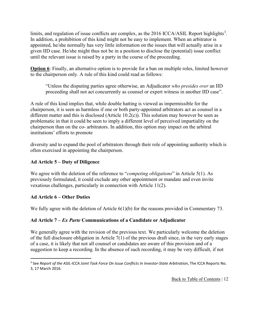limits, and regulation of issue conflicts are complex, as the 2016 ICCA/ASIL Report highlights<sup>[3](#page-11-0)</sup>. In addition, a prohibition of this kind might not be easy to implement. When an arbitrator is appointed, he/she normally has very little information on the issues that will actually arise in a given IID case. He/she might thus not be in a position to disclose the (potential) issue conflict until the relevant issue is raised by a party in the course of the proceeding.

**Option 6**: Finally, an alternative option is to provide for a ban on multiple roles, limited however to the chairperson only. A rule of this kind could read as follows:

"Unless the disputing parties agree otherwise, an Adjudicator *who presides over* an IID proceeding shall not act concurrently as counsel or expert witness in another IID case".

A rule of this kind implies that, while double hatting is viewed as impermissible for the chairperson, it is seen as harmless if one or both party-appointed arbitrators act as counsel in a different matter and this is disclosed (Article 10.2(c)). This solution may however be seen as problematic in that it could be seen to imply a different level of perceived impartiality on the chairperson than on the co- arbitrators. In addition, this option may impact on the arbitral institutions' efforts to promote

diversity and to expand the pool of arbitrators through their role of appointing authority which is often exercised in appointing the chairperson.

## **Ad Article 5 – Duty of Diligence**

We agree with the deletion of the reference to "*competing obligations*" in Article 5(1). As previously formulated, it could exclude any other appointment or mandate and even invite vexatious challenges, particularly in connection with Article 11(2).

#### **Ad Article 6 – Other Duties**

We fully agree with the deletion of Article 6(1)(b) for the reasons provided in Commentary 73.

## **Ad Article 7 –** *Ex Parte* **Communications of a Candidate or Adjudicator**

We generally agree with the revision of the previous text. We particularly welcome the deletion of the full disclosure obligation in Article 7(1) of the previous draft since, in the very early stages of a case, it is likely that not all counsel or candidates are aware of this provision and of a suggestion to keep a recording. In the absence of such recording, it may be very difficult, if not

<span id="page-11-0"></span><sup>&</sup>lt;sup>3</sup> See *Report of the ASIL-ICCA Joint Task Force On Issue Conflicts In Investor-State Arbitration, The ICCA Reports No.* 3, 17 March 2016.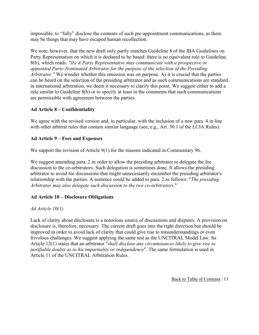impossible, to "fully" disclose the contents of such pre-appointment communications, as there may be things that may have escaped human recollection.

We note, however, that the new draft only partly matches Guideline 8 of the IBA Guidelines on Party Representation on which it is declared to be based: there is no equivalent rule to Guideline 8(b), which reads: *"(b) A Party Representative may communicate with a prospective or appointed Party-Nominated Arbitrator for the purpose of the selection of the Presiding Arbitrator."* We wonder whether this omission was on purpose. As it is crucial that the parties can be heard on the selection of the presiding arbitrator and as such communications are standard in international arbitration, we deem it necessary to clarify this point. We suggest either to add a rule similar to Guideline 8(b) or to specify at least in the comments that such communications are permissible with agreement between the parties.

## **Ad Article 8 – Confidentiality**

We agree with the revised version and, in particular, with the inclusion of a new para. 4 in line with other arbitral rules that contain similar language (see, e.g., Art. 30.1 of the LCIA Rules).

### **Ad Article 9 – Fees and Expenses**

We support the revision of Article 9(1) for the reasons indicated in Commentary 96.

We suggest amending para. 2 in order to allow the presiding arbitrator to delegate the fee discussion to the co-arbitrators. Such delegation is sometimes done. It allows the presiding arbitrator to avoid fee discussions that might unnecessarily encumber the presiding arbitrator's relationship with the parties. A sentence could be added to para. 2 as follows: "*The presiding Arbitrator may also delegate such discussion to the two co-arbitrators.*"

## **Ad Article 10 – Disclosure Obligations**

#### *Ad Article 10(1)*

Lack of clarity about disclosure is a notorious source of discussions and disputes. A provision on disclosure is, therefore, necessary. The current draft goes into the right direction but should be improved in order to avoid lack of clarity that could give rise to misunderstandings or even frivolous challenges. We suggest applying the same test as the UNCITRAL Model Law. Its Article 12(1) states that an arbitrator "*shall disclose any circumstances likely to give rise to justifiable doubts as to his impartiality or independence*". The same formulation is used in Article 11 of the UNCITRAL Arbitration Rules.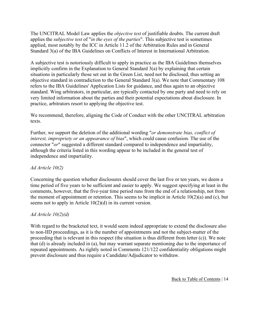The UNCITRAL Model Law applies the *objective test* of justifiable doubts. The current draft applies the *subjective test* of "*in the eyes of the parties*". This subjective test is sometimes applied, most notably by the ICC in Article 11.2 of the Arbitration Rules and in General Standard 3(a) of the IBA Guidelines on Conflicts of Interest in International Arbitration.

A subjective test is notoriously difficult to apply in practice as the IBA Guidelines themselves implicitly confirm in the Explanation to General Standard 3(a) by explaining that certain situations in particularly those set out in the Green List, need not be disclosed, thus setting an objective standard in contradiction to the General Standard 3(a). We note that Commentary 108 refers to the IBA Guidelines' Application Lists for guidance, and thus again to an objective standard. Wing arbitrators, in particular, are typically contacted by one party and need to rely on very limited information about the parties and their potential expectations about disclosure. In practice, arbitrators resort to applying the objective test.

We recommend, therefore, aligning the Code of Conduct with the other UNCITRAL arbitration texts.

Further, we support the deletion of the additional wording "*or demonstrate bias, conflict of interest, impropriety or an appearance of bias*", which could cause confusion. The use of the connector "*or*" suggested a different standard compared to independence and impartiality, although the criteria listed in this wording appear to be included in the general test of independence and impartiality.

#### *Ad Article 10(2)*

Concerning the question whether disclosures should cover the last five or ten years, we deem a time period of five years to be sufficient and easier to apply. We suggest specifying at least in the comments, however, that the five-year time period runs from the end of a relationship, not from the moment of appointment or retention. This seems to be implicit in Article  $10(2)(a)$  and (c), but seems not to apply in Article 10(2)(d) in its current version.

#### *Ad Article 10(2)(d)*

With regard to the bracketed text, it would seem indeed appropriate to extend the disclosure also to non-IID proceedings, as it is the number of appointments and not the subject-matter of the proceeding that is relevant in this respect (the situation is thus different from letter (c)). We note that (d) is already included in (a), but may warrant separate mentioning due to the importance of repeated appointments. As rightly noted in Comments 121/122 confidentiality obligations might prevent disclosure and thus require a Candidate/Adjudicator to withdraw.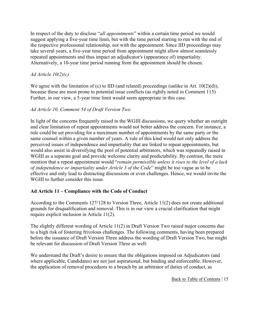In respect of the duty to disclose "*all appointments*" within a certain time period we would suggest applying a five-year time limit, but with the time period starting to run with the end of the respective professional relationship, not with the appointment. Since IID proceedings may take several years, a five-year time period from appointment might allow almost seamlessly repeated appointments and thus impact an adjudicator's (appearance of) impartiality. Alternatively, a 10-year time period running from the appointment should be chosen.

## *Ad Article 10(2)(c)*

We agree with the limitation of (c) to IID (and related) proceedings (unlike in Art.  $10(2)(d)$ ), because these are most prone to potential issue conflicts (as rightly noted in Comment 115) Further, in our view, a 5-year time limit would seem appropriate in this case.

#### *Ad Article 10, Comment 54 of Draft Version Two*

In light of the concerns frequently raised in the WGIII discussions, we query whether an outright and clear limitation of repeat appointments would not better address the concern. For instance, a rule could be set providing for a maximum number of appointments by the same party or the same counsel within a given number of years. A rule of this kind would not only address the perceived issues of independence and impartiality that are linked to repeat appointments, but would also assist in diversifying the pool of potential arbitrators, which was repeatedly raised in WGIII as a separate goal and provide welcome clarity and predictability. By contrast, the mere mention that a repeat appointment would "*remain permissible unless it rises to the level of a lack of independence or impartiality under Article 3 of the Code*" might be too vague as to be effective and only lead to distracting discussions or even challenges. Hence, we would invite the WGIII to further consider this issue.

#### **Ad Article 11 – Compliance with the Code of Conduct**

According to the Comments 127/128 to Version Three, Article 11(2) does not create additional grounds for disqualification and removal. This is in our view a crucial clarification that might require explicit inclusion in Article 11(2).

The slightly different wording of Article 11(2) in Draft Version Two raised major concerns due to a high risk of fostering frivolous challenges. The following comments, having been prepared before the issuance of Draft Version Three address the wording of Draft Version Two, but might be relevant for discussion of Draft Version Three as well:

We understand the Draft's desire to ensure that the obligations imposed on Adjudicators (and where applicable, Candidates) are not just aspirational, but binding and enforceable. However, the application of removal procedures to a breach by an arbitrator of duties of conduct, as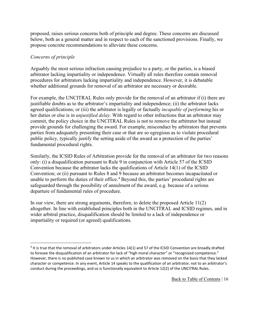proposed, raises serious concerns both of principle and degree. These concerns are discussed below, both as a general matter and in respect to each of the sanctioned provisions. Finally, we propose concrete recommendations to alleviate these concerns.

### *Concerns of principle*

Arguably the most serious infraction causing prejudice to a party, or the parties, is a biased arbitrator lacking impartiality or independence. Virtually all rules therefore contain removal procedures for arbitrators lacking impartiality and independence. However, it is debatable whether additional grounds for removal of an arbitrator are necessary or desirable.

For example, the UNCITRAL Rules only provide for the removal of an arbitrator if (i) there are justifiable doubts as to the arbitrator's impartiality and independence; (ii) the arbitrator lacks agreed qualifications; or (iii) the arbitrator is legally or factually *incapable of performing* his or her duties or else is in *unjustified delay*. With regard to other infractions that an arbitrator may commit, the policy choice in the UNCITRAL Rules is not to remove the arbitrator but instead provide grounds for challenging the award. For example, misconduct by arbitrators that prevents parties from adequately presenting their case or that are so egregious as to violate procedural public policy, typically justify the setting aside of the award as a protection of the parties' fundamental procedural rights.

Similarly, the ICSID Rules of Arbitration provide for the removal of an arbitrator for two reasons only: (i) a disqualification pursuant to Rule 9 in conjunction with Article 57 of the ICSID Convention because the arbitrator lacks the qualifications of Article 14(1) of the ICSID Convention; or (ii) pursuant to Rules 8 and 9 because an arbitrator becomes incapacitated or unable to perform the duties of their office.<sup>[4](#page-15-0)</sup> Beyond this, the parties' procedural rights are safeguarded through the possibility of annulment of the award, e.g. because of a serious departure of fundamental rules of procedure.

In our view, there are strong arguments, therefore, to delete the proposed Article 11(2) altogether. In line with established principles both in the UNCITRAL and ICSID regimes, and in wider arbitral practice, disqualification should be limited to a lack of independence or impartiality or required (or agreed) qualifications.

<span id="page-15-0"></span> $4$  It is true that the removal of arbitrators under Articles 14(1) and 57 of the ICSID Convention are broadly drafted to foresee the disqualification of an arbitrator for lack of "high moral character" or "recognized competence." However, there is no published case known to us in which an arbitrator was removed on the basis that they lacked character or competence. In any event, Article 14 speaks to the qualification of an arbitrator, not to an arbitrator's conduct during the proceedings, and so is functionally equivalent to Article 12(2) of the UNCITRAL Rules.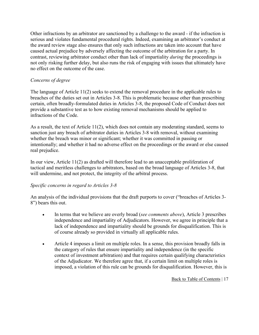Other infractions by an arbitrator are sanctioned by a challenge to the award - if the infraction is serious and violates fundamental procedural rights. Indeed, examining an arbitrator's conduct at the award review stage also ensures that only such infractions are taken into account that have caused actual prejudice by adversely affecting the outcome of the arbitration for a party. In contrast, reviewing arbitrator conduct other than lack of impartiality *during* the proceedings is not only risking further delay, but also runs the risk of engaging with issues that ultimately have no effect on the outcome of the case.

## *Concerns of degree*

The language of Article 11(2) seeks to extend the removal procedure in the applicable rules to breaches of the duties set out in Articles 3-8. This is problematic because other than prescribing certain, often broadly-formulated duties in Articles 3-8, the proposed Code of Conduct does not provide a substantive test as to how existing removal mechanisms should be applied to infractions of the Code.

As a result, the text of Article 11(2), which does not contain any moderating standard, seems to sanction just any breach of arbitrator duties in Articles 3-8 with removal, without examining whether the breach was minor or significant; whether it was committed in passing or intentionally; and whether it had no adverse effect on the proceedings or the award or else caused real prejudice.

In our view, Article 11(2) as drafted will therefore lead to an unacceptable proliferation of tactical and meritless challenges to arbitrators, based on the broad language of Articles 3-8, that will undermine, and not protect, the integrity of the arbitral process.

#### *Specific concerns in regard to Articles 3-8*

An analysis of the individual provisions that the draft purports to cover ("breaches of Articles 3- 8") bears this out.

- In terms that we believe are overly broad (*see comments above*), Article 3 prescribes independence and impartiality of Adjudicators. However, we agree in principle that a lack of independence and impartiality should be grounds for disqualification. This is of course already so provided in virtually all applicable rules.
- Article 4 imposes a limit on multiple roles. In a sense, this provision broadly falls in the category of rules that ensure impartiality and independence (in the specific context of investment arbitration) and that requires certain qualifying characteristics of the Adjudicator. We therefore agree that, if a certain limit on multiple roles is imposed, a violation of this rule can be grounds for disqualification. However, this is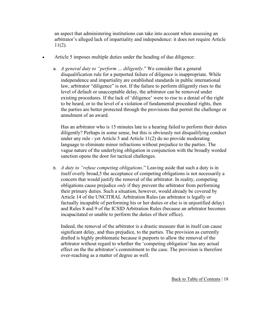an aspect that administering institutions can take into account when assessing an arbitrator's alleged lack of impartiality and independence: it does not require Article 11(2).

- Article 5 imposes multiple duties under the heading of due diligence:
	- a. *A general duty to "perform … diligently*." We consider that a general disqualification rule for a purported failure of diligence is inappropriate. While independence and impartiality are established standards in public international law, arbitrator "diligence" is not. If the failure to perform diligently rises to the level of default or unacceptable delay, the arbitrator can be removed under existing procedures. If the lack of 'diligence' were to rise to a denial of the right to be heard, or to the level of a violation of fundamental procedural rights, then the parties are better protected through the provisions that permit the challenge or annulment of an award.

Has an arbitrator who is 15 minutes late to a hearing failed to perform their duties diligently? Perhaps in some sense, but this is obviously not disqualifying conduct under any rule - yet Article 5 and Article 11(2) do no provide moderating language to eliminate minor infractions without prejudice to the parties. The vague nature of the underlying obligation in conjunction with the broadly worded sanction opens the door for tactical challenges.

b. *A duty to "refuse competing obligations*." Leaving aside that such a duty is in itself overly broad,5 the acceptance of competing obligations is not necessarily a concern that would justify the removal of the arbitrator. In reality, competing obligations cause prejudice *only* if they prevent the arbitrator from performing their primary duties. Such a situation, however, would already be covered by Article 14 of the UNCITRAL Arbitration Rules (an arbitrator is legally or factually incapable of performing his or her duties or else is in unjustified delay) and Rules 8 and 9 of the ICSID Arbitration Rules (because an arbitrator becomes incapacitated or unable to perform the duties of their office).

Indeed, the removal of the arbitrator is a drastic measure that in itself can cause significant delay, and thus prejudice, to the parties. The provision as currently drafted is highly problematic because it purports to allow the removal of the arbitrator without regard to whether the 'competing obligation' has any actual effect on the the arbitrator's commitment to the case. The provision is therefore over-reaching as a matter of degree as well.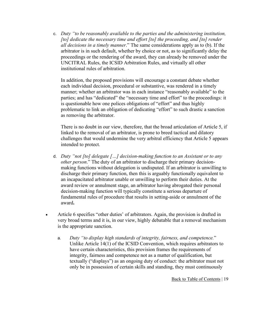c. *Duty "to be reasonably available to the parties and the administering institution, [to] dedicate the necessary time and effort [to] the proceeding, and [to] render all decisions in a timely manner*." The same considerations apply as to (b). If the arbitrator is in such default, whether by choice or not, as to significantly delay the proceedings or the rendering of the award, they can already be removed under the UNCITRAL Rules, the ICSID Arbitration Rules, and virtually all other institutional rules of arbitration.

In addition, the proposed provisions will encourage a constant debate whether each individual decision, procedural or substantive, was rendered in a timely manner; whether an arbitrator was in each instance "reasonably available" to the parties; and has "dedicated" the "necessary time and effort" to the proceedings: it is questionable how one polices obligations of "effort" and thus highly problematic to link an obligation of dedicating "effort" to such drastic a sanction as removing the arbitrator.

There is no doubt in our view, therefore, that the broad articulation of Article 5, if linked to the removal of an arbitrator, is prone to breed tactical and dilatory challenges that would undermine the very arbitral efficiency that Article 5 appears intended to protect.

- d. *Duty "not [to] delegate […] decision-making function to an Assistant or to any other person*." The duty of an arbitrator to discharge their primary decisionmaking functions without delegation is undisputed. If an arbitrator is unwilling to discharge their primary function, then this is arguably functionally equivalent to an incapacitated arbitrator unable or unwilling to perform their duties. At the award review or annulment stage, an arbitrator having abrogated their personal decision-making function will typically constitute a serious departure of fundamental rules of procedure that results in setting-aside or annulment of the award**.**
- Article 6 specifies "other duties' of arbitrators. Again, the provision is drafted in very broad terms and it is, in our view, highly debatable that a removal mechanism is the appropriate sanction.
	- a. *Duty "to display high standards of integrity, fairness, and competence.*" Unlike Article 14(1) of the ICSID Convention, which requires arbitrators to have certain characteristics, this provision frames the requirements of integrity, fairness and competence not as a matter of qualification, but textually ("displays") as an ongoing duty of conduct: the arbitrator must not only be in possession of certain skills and standing, they must continuously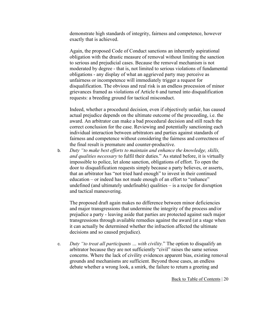demonstrate high standards of integrity, fairness and competence, however exactly that is achieved.

Again, the proposed Code of Conduct sanctions an inherently aspirational obligation with the drastic measure of removal without limiting the sanction to serious and prejudicial cases. Because the removal mechanism is not moderated by degree - that is, not limited to serious violations of fundamental obligations - any display of what an aggrieved party may perceive as unfairness or incompetence will immediately trigger a request for disqualification. The obvious and real risk is an endless procession of minor grievances framed as violations of Article 6 and turned into disqualification requests: a breeding ground for tactical misconduct.

Indeed, whether a procedural decision, even if objectively unfair, has caused actual prejudice depends on the ultimate outcome of the proceeding, i.e. the award. An arbitrator can make a bad procedural decision and still reach the correct conclusion for the case. Reviewing and potentially sanctioning each individual interaction between arbitrators and parties against standards of fairness and competence without considering the fairness and correctness of the final result is premature and counter-productive.

b. *Duty "to make best efforts to maintain and enhance the knowledge, skills, and qualities necessary* to fulfil their duties." As stated before, it is virtually impossible to police, let alone sanction, obligations of effort. To open the door to disqualification requests simply because a party believes, or asserts, that an arbitrator has "not tried hard enough" to invest in their continued education – or indeed has not made enough of an effort to "enhance" undefined (and ultimately undefinable) qualities – is a recipe for disruption and tactical maneuvering.

The proposed draft again makes no difference between minor deficiencies and major transgressions that undermine the integrity of the process and/or prejudice a party - leaving aside that parties are protected against such major transgressions through available remedies against the award (at a stage when it can actually be determined whether the infraction affected the ultimate decisions and so caused prejudice).

c. *Duty "to treat all participants … with civility.*" The option to disqualify an arbitrator because they are not sufficiently "civil" raises the same serious concerns. Where the lack of civility evidences apparent bias, existing removal grounds and mechanisms are sufficient. Beyond those cases, an endless debate whether a wrong look, a smirk, the failure to return a greeting and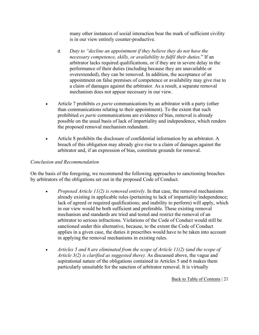many other instances of social interaction bear the mark of sufficient civility is in our view entirely counter-productive.

- d. *Duty to "decline an appointment if they believe they do not have the necessary competence, skills, or availability to fulfil their duties.*" If an arbitrator lacks required qualifications, or if they are in severe delay in the performance of their duties (including because they are unavailable or overextended), they can be removed. In addition, the acceptance of an appointment on false premises of competence or availability may give rise to a claim of damages against the arbitrator. As a result, a separate removal mechanism does not appear necessary in our view.
- Article 7 prohibits *ex parte* communications by an arbitrator with a party (other than communications relating to their appointment). To the extent that such prohibited *ex parte* communications are evidence of bias, removal is already possible on the usual basis of lack of impartiality and independence, which renders the proposed removal mechanism redundant.
- Article 8 prohibits the disclosure of confidential information by an arbitrator. A breach of this obligation may already give rise to a claim of damages against the arbitrator and, if an expression of bias, constitute grounds for removal.

### *Conclusion and Recommendation*

On the basis of the foregoing, we recommend the following approaches to sanctioning breaches by arbitrators of the obligations set out in the proposed Code of Conduct.

- *Proposed Article 11(2) is removed entirely*. In that case, the removal mechanisms already existing in applicable rules (pertaining to lack of impartiality/independence; lack of agreed or required qualifications; and inability to perform) will apply, which in our view would be both sufficient and preferable. These existing removal mechanism and standards are tried and tested and restrict the removal of an arbitrator to serious infractions. Violations of the Code of Conduct would still be sanctioned under this alternative, because, to the extent the Code of Conduct applies in a given case, the duties it prescribes would have to be taken into account in applying the removal mechanisms in existing rules.
- *Articles 5 and 6 are eliminated from the scope of Article 11(2) (and the scope of Article 3(2) is clarified as suggested there)*. As discussed above, the vague and aspirational nature of the obligations contained in Articles 5 and 6 makes them particularly unsuitable for the sanction of arbitrator removal. It is virtually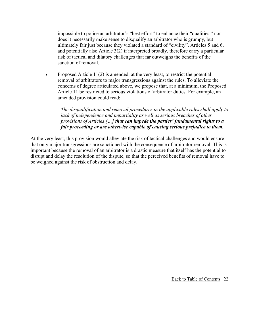impossible to police an arbitrator's "best effort" to enhance their "qualities," nor does it necessarily make sense to disqualify an arbitrator who is grumpy, but ultimately fair just because they violated a standard of "civility". Articles 5 and 6, and potentially also Article 3(2) if interpreted broadly, therefore carry a particular risk of tactical and dilatory challenges that far outweighs the benefits of the sanction of removal.

• Proposed Article 11(2) is amended, at the very least, to restrict the potential removal of arbitrators to major transgressions against the rules. To alleviate the concerns of degree articulated above, we propose that, at a minimum, the Proposed Article 11 be restricted to serious violations of arbitrator duties. For example, an amended provision could read:

*The disqualification and removal procedures in the applicable rules shall apply to*  lack of independence and impartiality as well as serious breaches of other *provisions of Articles […] that can impede the parties' fundamental rights to a fair proceeding or are otherwise capable of causing serious prejudice to them.*

At the very least, this provision would alleviate the risk of tactical challenges and would ensure that only major transgressions are sanctioned with the consequence of arbitrator removal. This is important because the removal of an arbitrator is a drastic measure that itself has the potential to disrupt and delay the resolution of the dispute, so that the perceived benefits of removal have to be weighed against the risk of obstruction and delay.